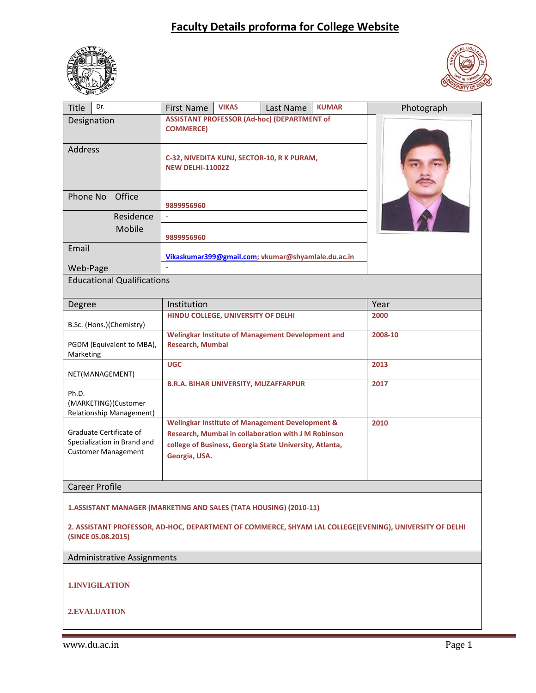## **Faculty Details proforma for College Website**





| Dr.<br><b>Title</b>                                                                                                           | <b>First Name</b>                                                                                                                                                                             | <b>VIKAS</b> | Last Name | <b>KUMAR</b> | Photograph |  |  |
|-------------------------------------------------------------------------------------------------------------------------------|-----------------------------------------------------------------------------------------------------------------------------------------------------------------------------------------------|--------------|-----------|--------------|------------|--|--|
| Designation                                                                                                                   | <b>ASSISTANT PROFESSOR (Ad-hoc) (DEPARTMENT of</b><br><b>COMMERCE)</b>                                                                                                                        |              |           |              |            |  |  |
| Address                                                                                                                       | C-32, NIVEDITA KUNJ, SECTOR-10, R K PURAM,<br><b>NEW DELHI-110022</b>                                                                                                                         |              |           |              |            |  |  |
| Office<br>Phone No                                                                                                            | 9899956960                                                                                                                                                                                    |              |           |              |            |  |  |
| Residence<br>Mobile                                                                                                           | 9899956960                                                                                                                                                                                    |              |           |              |            |  |  |
| Email<br>Web-Page                                                                                                             | Vikaskumar399@gmail.com; vkumar@shyamlale.du.ac.in<br>i.                                                                                                                                      |              |           |              |            |  |  |
| <b>Educational Qualifications</b>                                                                                             |                                                                                                                                                                                               |              |           |              |            |  |  |
| Degree                                                                                                                        | Institution                                                                                                                                                                                   |              |           | Year         |            |  |  |
| B.Sc. (Hons.)(Chemistry)                                                                                                      | HINDU COLLEGE, UNIVERSITY OF DELHI                                                                                                                                                            |              |           |              | 2000       |  |  |
| PGDM (Equivalent to MBA),<br>Marketing                                                                                        | Welingkar Institute of Management Development and<br>Research, Mumbai                                                                                                                         |              |           |              | 2008-10    |  |  |
| NET(MANAGEMENT)                                                                                                               | <b>UGC</b>                                                                                                                                                                                    |              | 2013      |              |            |  |  |
| Ph.D.<br>(MARKETING)(Customer<br>Relationship Management)                                                                     | <b>B.R.A. BIHAR UNIVERSITY, MUZAFFARPUR</b>                                                                                                                                                   |              | 2017      |              |            |  |  |
| Graduate Certificate of<br>Specialization in Brand and<br><b>Customer Management</b>                                          | <b>Welingkar Institute of Management Development &amp;</b><br>Research, Mumbai in collaboration with J M Robinson<br>college of Business, Georgia State University, Atlanta,<br>Georgia, USA. |              |           |              | 2010       |  |  |
| <b>Career Profile</b>                                                                                                         |                                                                                                                                                                                               |              |           |              |            |  |  |
| 1.ASSISTANT MANAGER (MARKETING AND SALES (TATA HOUSING) (2010-11)                                                             |                                                                                                                                                                                               |              |           |              |            |  |  |
| 2. ASSISTANT PROFESSOR, AD-HOC, DEPARTMENT OF COMMERCE, SHYAM LAL COLLEGE(EVENING), UNIVERSITY OF DELHI<br>(SINCE 05.08.2015) |                                                                                                                                                                                               |              |           |              |            |  |  |
| <b>Administrative Assignments</b>                                                                                             |                                                                                                                                                                                               |              |           |              |            |  |  |
| <b>1.INVIGILATION</b>                                                                                                         |                                                                                                                                                                                               |              |           |              |            |  |  |
| 2.EVALUATION                                                                                                                  |                                                                                                                                                                                               |              |           |              |            |  |  |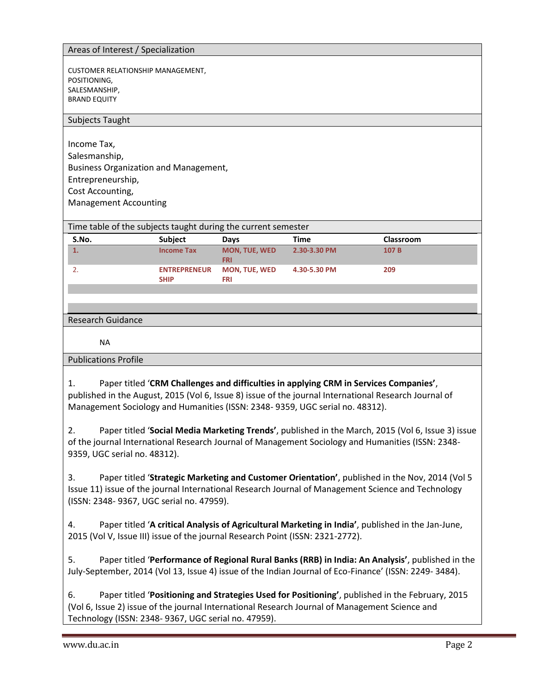## Areas of Interest / Specialization

CUSTOMER RELATIONSHIP MANAGEMENT, POSITIONING, SALESMANSHIP, BRAND EQUITY

## Subjects Taught

Income Tax, Salesmanship, Business Organization and Management, Entrepreneurship, Cost Accounting, Management Accounting

Time table of the subjects taught during the current semester

| S.No. | <b>Subject</b>                     | <b>Davs</b>                        | Time         | <b>Classroom</b> |
|-------|------------------------------------|------------------------------------|--------------|------------------|
| . .   | <b>Income Tax</b>                  | <b>MON. TUE. WED</b><br><b>FRI</b> | 2.30-3.30 PM | 107 B            |
|       | <b>ENTREPRENEUR</b><br><b>SHIP</b> | <b>MON, TUE, WED</b><br>FRI        | 4.30-5.30 PM | 209              |

## Research Guidance

NA

Publications Profile

1. Paper titled '**CRM Challenges and difficulties in applying CRM in Services Companies'**, published in the August, 2015 (Vol 6, Issue 8) issue of the journal International Research Journal of Management Sociology and Humanities (ISSN: 2348- 9359, UGC serial no. 48312).

2. Paper titled '**Social Media Marketing Trends'**, published in the March, 2015 (Vol 6, Issue 3) issue of the journal International Research Journal of Management Sociology and Humanities (ISSN: 2348- 9359, UGC serial no. 48312).

3. Paper titled '**Strategic Marketing and Customer Orientation'**, published in the Nov, 2014 (Vol 5 Issue 11) issue of the journal International Research Journal of Management Science and Technology (ISSN: 2348- 9367, UGC serial no. 47959).

4. Paper titled '**A critical Analysis of Agricultural Marketing in India'**, published in the Jan-June, 2015 (Vol V, Issue III) issue of the journal Research Point (ISSN: 2321-2772).

5. Paper titled '**Performance of Regional Rural Banks (RRB) in India: An Analysis'**, published in the July-September, 2014 (Vol 13, Issue 4) issue of the Indian Journal of Eco-Finance' (ISSN: 2249- 3484).

6. Paper titled '**Positioning and Strategies Used for Positioning'**, published in the February, 2015 (Vol 6, Issue 2) issue of the journal International Research Journal of Management Science and Technology (ISSN: 2348- 9367, UGC serial no. 47959).